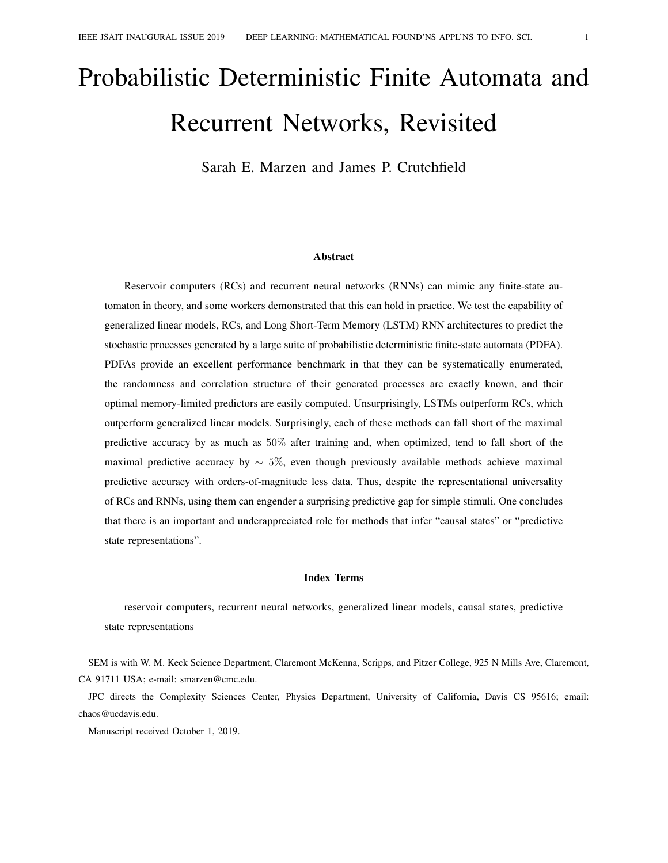# Probabilistic Deterministic Finite Automata and Recurrent Networks, Revisited

Sarah E. Marzen and James P. Crutchfield

#### Abstract

Reservoir computers (RCs) and recurrent neural networks (RNNs) can mimic any finite-state automaton in theory, and some workers demonstrated that this can hold in practice. We test the capability of generalized linear models, RCs, and Long Short-Term Memory (LSTM) RNN architectures to predict the stochastic processes generated by a large suite of probabilistic deterministic finite-state automata (PDFA). PDFAs provide an excellent performance benchmark in that they can be systematically enumerated, the randomness and correlation structure of their generated processes are exactly known, and their optimal memory-limited predictors are easily computed. Unsurprisingly, LSTMs outperform RCs, which outperform generalized linear models. Surprisingly, each of these methods can fall short of the maximal predictive accuracy by as much as 50% after training and, when optimized, tend to fall short of the maximal predictive accuracy by  $\sim 5\%$ , even though previously available methods achieve maximal predictive accuracy with orders-of-magnitude less data. Thus, despite the representational universality of RCs and RNNs, using them can engender a surprising predictive gap for simple stimuli. One concludes that there is an important and underappreciated role for methods that infer "causal states" or "predictive state representations".

#### Index Terms

reservoir computers, recurrent neural networks, generalized linear models, causal states, predictive state representations

SEM is with W. M. Keck Science Department, Claremont McKenna, Scripps, and Pitzer College, 925 N Mills Ave, Claremont, CA 91711 USA; e-mail: smarzen@cmc.edu.

JPC directs the Complexity Sciences Center, Physics Department, University of California, Davis CS 95616; email: chaos@ucdavis.edu.

Manuscript received October 1, 2019.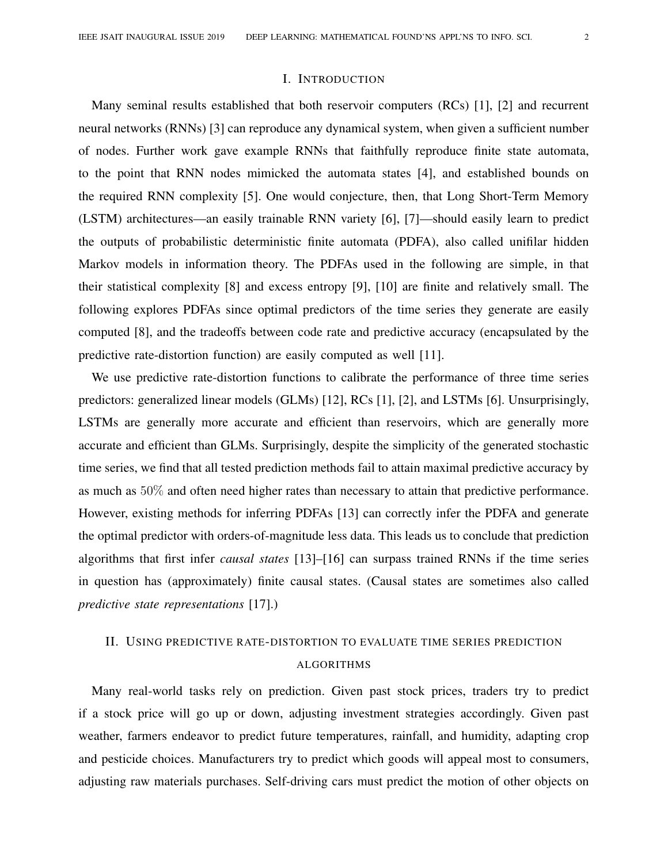## I. INTRODUCTION

Many seminal results established that both reservoir computers (RCs) [1], [2] and recurrent neural networks (RNNs) [3] can reproduce any dynamical system, when given a sufficient number of nodes. Further work gave example RNNs that faithfully reproduce finite state automata, to the point that RNN nodes mimicked the automata states [4], and established bounds on the required RNN complexity [5]. One would conjecture, then, that Long Short-Term Memory (LSTM) architectures—an easily trainable RNN variety [6], [7]—should easily learn to predict the outputs of probabilistic deterministic finite automata (PDFA), also called unifilar hidden Markov models in information theory. The PDFAs used in the following are simple, in that their statistical complexity [8] and excess entropy [9], [10] are finite and relatively small. The following explores PDFAs since optimal predictors of the time series they generate are easily computed [8], and the tradeoffs between code rate and predictive accuracy (encapsulated by the predictive rate-distortion function) are easily computed as well [11].

We use predictive rate-distortion functions to calibrate the performance of three time series predictors: generalized linear models (GLMs) [12], RCs [1], [2], and LSTMs [6]. Unsurprisingly, LSTMs are generally more accurate and efficient than reservoirs, which are generally more accurate and efficient than GLMs. Surprisingly, despite the simplicity of the generated stochastic time series, we find that all tested prediction methods fail to attain maximal predictive accuracy by as much as 50% and often need higher rates than necessary to attain that predictive performance. However, existing methods for inferring PDFAs [13] can correctly infer the PDFA and generate the optimal predictor with orders-of-magnitude less data. This leads us to conclude that prediction algorithms that first infer *causal states* [13]–[16] can surpass trained RNNs if the time series in question has (approximately) finite causal states. (Causal states are sometimes also called *predictive state representations* [17].)

# II. USING PREDICTIVE RATE-DISTORTION TO EVALUATE TIME SERIES PREDICTION ALGORITHMS

Many real-world tasks rely on prediction. Given past stock prices, traders try to predict if a stock price will go up or down, adjusting investment strategies accordingly. Given past weather, farmers endeavor to predict future temperatures, rainfall, and humidity, adapting crop and pesticide choices. Manufacturers try to predict which goods will appeal most to consumers, adjusting raw materials purchases. Self-driving cars must predict the motion of other objects on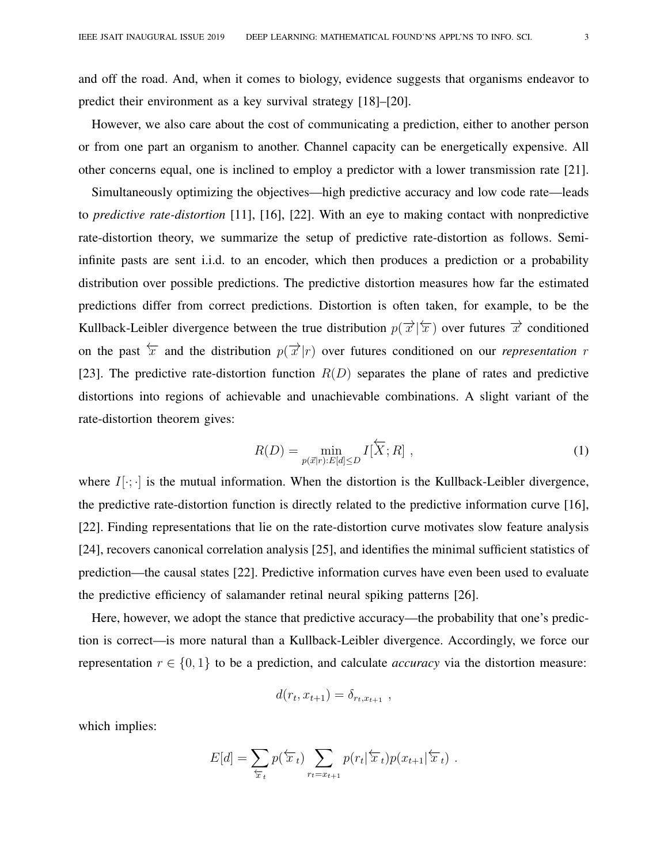and off the road. And, when it comes to biology, evidence suggests that organisms endeavor to predict their environment as a key survival strategy [18]–[20].

However, we also care about the cost of communicating a prediction, either to another person or from one part an organism to another. Channel capacity can be energetically expensive. All other concerns equal, one is inclined to employ a predictor with a lower transmission rate [21].

Simultaneously optimizing the objectives—high predictive accuracy and low code rate—leads to *predictive rate-distortion* [11], [16], [22]. With an eye to making contact with nonpredictive rate-distortion theory, we summarize the setup of predictive rate-distortion as follows. Semiinfinite pasts are sent i.i.d. to an encoder, which then produces a prediction or a probability distribution over possible predictions. The predictive distortion measures how far the estimated predictions differ from correct predictions. Distortion is often taken, for example, to be the Kullback-Leibler divergence between the true distribution  $p(\vec{x}|\vec{x})$  over futures  $\vec{x}$  conditioned on the past  $\overleftarrow{x}$  and the distribution  $p(\overrightarrow{x}|r)$  over futures conditioned on our *representation* r [23]. The predictive rate-distortion function  $R(D)$  separates the plane of rates and predictive distortions into regions of achievable and unachievable combinations. A slight variant of the rate-distortion theorem gives:

$$
R(D) = \min_{p(\vec{x}|r): E[d] \le D} I[\overleftarrow{X}; R], \qquad (1)
$$

where  $I[\cdot;\cdot]$  is the mutual information. When the distortion is the Kullback-Leibler divergence, the predictive rate-distortion function is directly related to the predictive information curve [16], [22]. Finding representations that lie on the rate-distortion curve motivates slow feature analysis [24], recovers canonical correlation analysis [25], and identifies the minimal sufficient statistics of prediction—the causal states [22]. Predictive information curves have even been used to evaluate the predictive efficiency of salamander retinal neural spiking patterns [26].

Here, however, we adopt the stance that predictive accuracy—the probability that one's prediction is correct—is more natural than a Kullback-Leibler divergence. Accordingly, we force our representation  $r \in \{0, 1\}$  to be a prediction, and calculate *accuracy* via the distortion measure:

$$
d(r_t, x_{t+1}) = \delta_{r_t, x_{t+1}},
$$

which implies:

$$
E[d] = \sum_{\overleftarrow{x}_t} p(\overleftarrow{x}_t) \sum_{r_t = x_{t+1}} p(r_t | \overleftarrow{x}_t) p(x_{t+1} | \overleftarrow{x}_t).
$$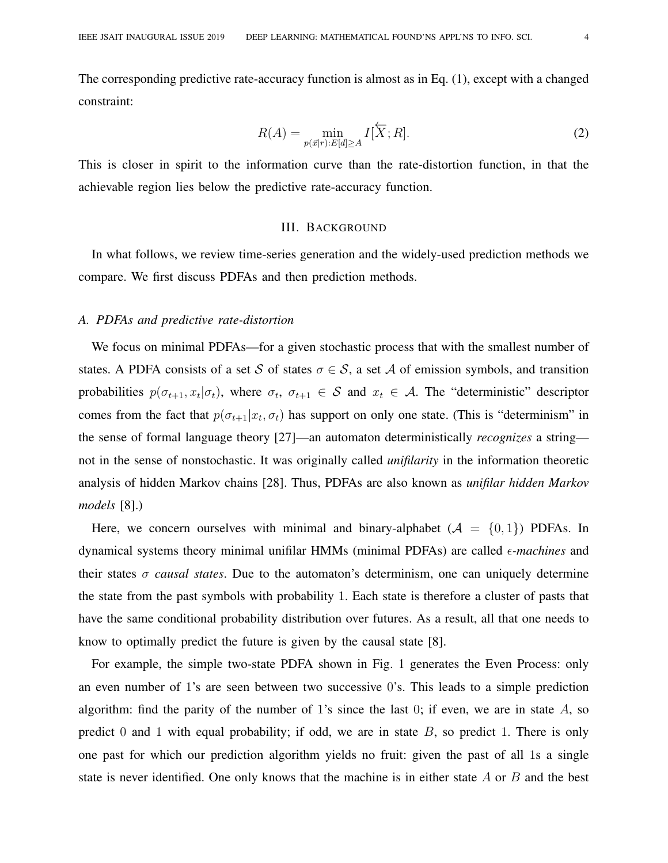The corresponding predictive rate-accuracy function is almost as in Eq. (1), except with a changed constraint:

$$
R(A) = \min_{p(\vec{x}|r): E[d] \ge A} I[\overleftarrow{X}; R].
$$
 (2)

This is closer in spirit to the information curve than the rate-distortion function, in that the achievable region lies below the predictive rate-accuracy function.

# III. BACKGROUND

In what follows, we review time-series generation and the widely-used prediction methods we compare. We first discuss PDFAs and then prediction methods.

#### *A. PDFAs and predictive rate-distortion*

We focus on minimal PDFAs—for a given stochastic process that with the smallest number of states. A PDFA consists of a set S of states  $\sigma \in S$ , a set A of emission symbols, and transition probabilities  $p(\sigma_{t+1}, x_t | \sigma_t)$ , where  $\sigma_t$ ,  $\sigma_{t+1} \in S$  and  $x_t \in A$ . The "deterministic" descriptor comes from the fact that  $p(\sigma_{t+1}|x_t, \sigma_t)$  has support on only one state. (This is "determinism" in the sense of formal language theory [27]—an automaton deterministically *recognizes* a string not in the sense of nonstochastic. It was originally called *unifilarity* in the information theoretic analysis of hidden Markov chains [28]. Thus, PDFAs are also known as *unifilar hidden Markov models* [8].)

Here, we concern ourselves with minimal and binary-alphabet  $(A = \{0, 1\})$  PDFAs. In dynamical systems theory minimal unifilar HMMs (minimal PDFAs) are called  $\epsilon$ -machines and their states σ *causal states*. Due to the automaton's determinism, one can uniquely determine the state from the past symbols with probability 1. Each state is therefore a cluster of pasts that have the same conditional probability distribution over futures. As a result, all that one needs to know to optimally predict the future is given by the causal state [8].

For example, the simple two-state PDFA shown in Fig. 1 generates the Even Process: only an even number of 1's are seen between two successive 0's. This leads to a simple prediction algorithm: find the parity of the number of 1's since the last 0; if even, we are in state  $A$ , so predict 0 and 1 with equal probability; if odd, we are in state  $B$ , so predict 1. There is only one past for which our prediction algorithm yields no fruit: given the past of all 1s a single state is never identified. One only knows that the machine is in either state  $A$  or  $B$  and the best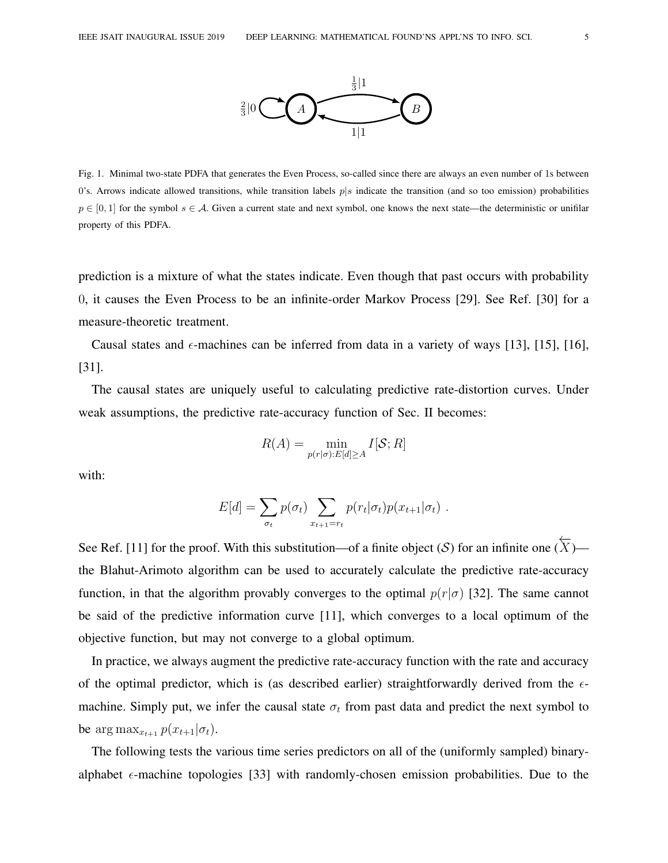

Fig. 1. Minimal two-state PDFA that generates the Even Process, so-called since there are always an even number of 1s between 0's. Arrows indicate allowed transitions, while transition labels  $p|s$  indicate the transition (and so too emission) probabilities  $p \in [0, 1]$  for the symbol  $s \in A$ . Given a current state and next symbol, one knows the next state—the deterministic or unifilar property of this PDFA.

prediction is a mixture of what the states indicate. Even though that past occurs with probability 0, it causes the Even Process to be an infinite-order Markov Process [29]. See Ref. [30] for a measure-theoretic treatment.

Causal states and  $\epsilon$ -machines can be inferred from data in a variety of ways [13], [15], [16], [31].

The causal states are uniquely useful to calculating predictive rate-distortion curves. Under weak assumptions, the predictive rate-accuracy function of Sec. II becomes:

$$
R(A) = \min_{p(r|\sigma):E[d]\geq A} I[\mathcal{S};R]
$$

with:

$$
E[d] = \sum_{\sigma_t} p(\sigma_t) \sum_{x_{t+1} = r_t} p(r_t | \sigma_t) p(x_{t+1} | \sigma_t) .
$$

See Ref. [11] for the proof. With this substitution—of a finite object  $(S)$  for an infinite one  $(\overline{X})$  the Blahut-Arimoto algorithm can be used to accurately calculate the predictive rate-accuracy function, in that the algorithm provably converges to the optimal  $p(r|\sigma)$  [32]. The same cannot be said of the predictive information curve [11], which converges to a local optimum of the objective function, but may not converge to a global optimum.

In practice, we always augment the predictive rate-accuracy function with the rate and accuracy of the optimal predictor, which is (as described earlier) straightforwardly derived from the  $\epsilon$ machine. Simply put, we infer the causal state  $\sigma_t$  from past data and predict the next symbol to be arg max<sub> $x_{t+1}$ </sub>  $p(x_{t+1}|\sigma_t)$ .

The following tests the various time series predictors on all of the (uniformly sampled) binaryalphabet  $\epsilon$ -machine topologies [33] with randomly-chosen emission probabilities. Due to the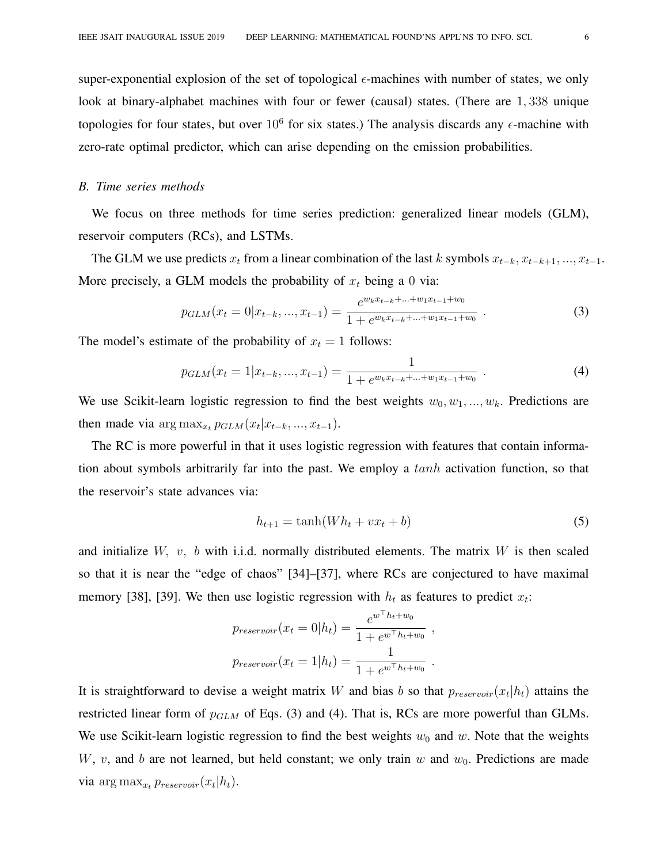super-exponential explosion of the set of topological  $\epsilon$ -machines with number of states, we only look at binary-alphabet machines with four or fewer (causal) states. (There are 1, 338 unique topologies for four states, but over  $10^6$  for six states.) The analysis discards any  $\epsilon$ -machine with zero-rate optimal predictor, which can arise depending on the emission probabilities.

#### *B. Time series methods*

We focus on three methods for time series prediction: generalized linear models (GLM), reservoir computers (RCs), and LSTMs.

The GLM we use predicts  $x_t$  from a linear combination of the last k symbols  $x_{t-k}, x_{t-k+1}, ..., x_{t-1}$ . More precisely, a GLM models the probability of  $x_t$  being a 0 via:

$$
p_{GLM}(x_t = 0 | x_{t-k}, ..., x_{t-1}) = \frac{e^{w_k x_{t-k} + ... + w_1 x_{t-1} + w_0}}{1 + e^{w_k x_{t-k} + ... + w_1 x_{t-1} + w_0}}.
$$
(3)

The model's estimate of the probability of  $x_t = 1$  follows:

$$
p_{GLM}(x_t = 1 | x_{t-k}, ..., x_{t-1}) = \frac{1}{1 + e^{w_k x_{t-k} + ... + w_1 x_{t-1} + w_0}}.
$$
\n
$$
(4)
$$

We use Scikit-learn logistic regression to find the best weights  $w_0, w_1, ..., w_k$ . Predictions are then made via  $\arg \max_{x_t} p_{GLM}(x_t | x_{t-k}, ..., x_{t-1}).$ 

The RC is more powerful in that it uses logistic regression with features that contain information about symbols arbitrarily far into the past. We employ a tanh activation function, so that the reservoir's state advances via:

$$
h_{t+1} = \tanh(Wh_t + vx_t + b) \tag{5}
$$

and initialize  $W$ ,  $v$ ,  $b$  with i.i.d. normally distributed elements. The matrix  $W$  is then scaled so that it is near the "edge of chaos" [34]–[37], where RCs are conjectured to have maximal memory [38], [39]. We then use logistic regression with  $h_t$  as features to predict  $x_t$ :

$$
p_{reservoir}(x_t = 0|h_t) = \frac{e^{w^{\top}h_t + w_0}}{1 + e^{w^{\top}h_t + w_0}},
$$
  

$$
p_{reservoir}(x_t = 1|h_t) = \frac{1}{1 + e^{w^{\top}h_t + w_0}}.
$$

It is straightforward to devise a weight matrix W and bias b so that  $p_{reservoir}(x_t|h_t)$  attains the restricted linear form of  $p_{GLM}$  of Eqs. (3) and (4). That is, RCs are more powerful than GLMs. We use Scikit-learn logistic regression to find the best weights  $w_0$  and w. Note that the weights W, v, and b are not learned, but held constant; we only train  $w$  and  $w_0$ . Predictions are made via  $\arg \max_{x_t} p_{reservoir}(x_t|h_t)$ .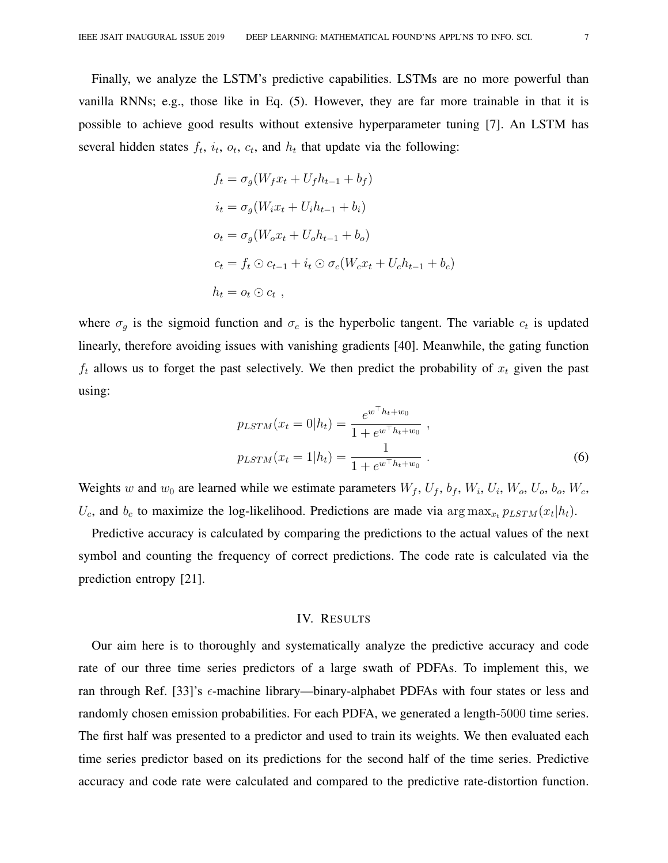Finally, we analyze the LSTM's predictive capabilities. LSTMs are no more powerful than vanilla RNNs; e.g., those like in Eq. (5). However, they are far more trainable in that it is possible to achieve good results without extensive hyperparameter tuning [7]. An LSTM has several hidden states  $f_t$ ,  $i_t$ ,  $o_t$ ,  $c_t$ , and  $h_t$  that update via the following:

$$
f_t = \sigma_g(W_f x_t + U_f h_{t-1} + b_f)
$$
  
\n
$$
i_t = \sigma_g(W_i x_t + U_i h_{t-1} + b_i)
$$
  
\n
$$
o_t = \sigma_g(W_o x_t + U_o h_{t-1} + b_o)
$$
  
\n
$$
c_t = f_t \odot c_{t-1} + i_t \odot \sigma_c(W_c x_t + U_c h_{t-1} + b_c)
$$
  
\n
$$
h_t = o_t \odot c_t ,
$$

where  $\sigma_g$  is the sigmoid function and  $\sigma_c$  is the hyperbolic tangent. The variable  $c_t$  is updated linearly, therefore avoiding issues with vanishing gradients [40]. Meanwhile, the gating function  $f_t$  allows us to forget the past selectively. We then predict the probability of  $x_t$  given the past using:

$$
p_{LSTM}(x_t = 0|h_t) = \frac{e^{w^{\top}h_t + w_0}}{1 + e^{w^{\top}h_t + w_0}},
$$
  

$$
p_{LSTM}(x_t = 1|h_t) = \frac{1}{1 + e^{w^{\top}h_t + w_0}}.
$$
 (6)

Weights w and  $w_0$  are learned while we estimate parameters  $W_f$ ,  $U_f$ ,  $b_f$ ,  $W_i$ ,  $U_i$ ,  $W_o$ ,  $U_o$ ,  $b_o$ ,  $W_c$ ,  $U_c$ , and  $b_c$  to maximize the log-likelihood. Predictions are made via  $\arg \max_{x_t} p_{LSTM}(x_t | h_t)$ .

Predictive accuracy is calculated by comparing the predictions to the actual values of the next symbol and counting the frequency of correct predictions. The code rate is calculated via the prediction entropy [21].

#### IV. RESULTS

Our aim here is to thoroughly and systematically analyze the predictive accuracy and code rate of our three time series predictors of a large swath of PDFAs. To implement this, we ran through Ref. [33]'s  $\epsilon$ -machine library—binary-alphabet PDFAs with four states or less and randomly chosen emission probabilities. For each PDFA, we generated a length-5000 time series. The first half was presented to a predictor and used to train its weights. We then evaluated each time series predictor based on its predictions for the second half of the time series. Predictive accuracy and code rate were calculated and compared to the predictive rate-distortion function.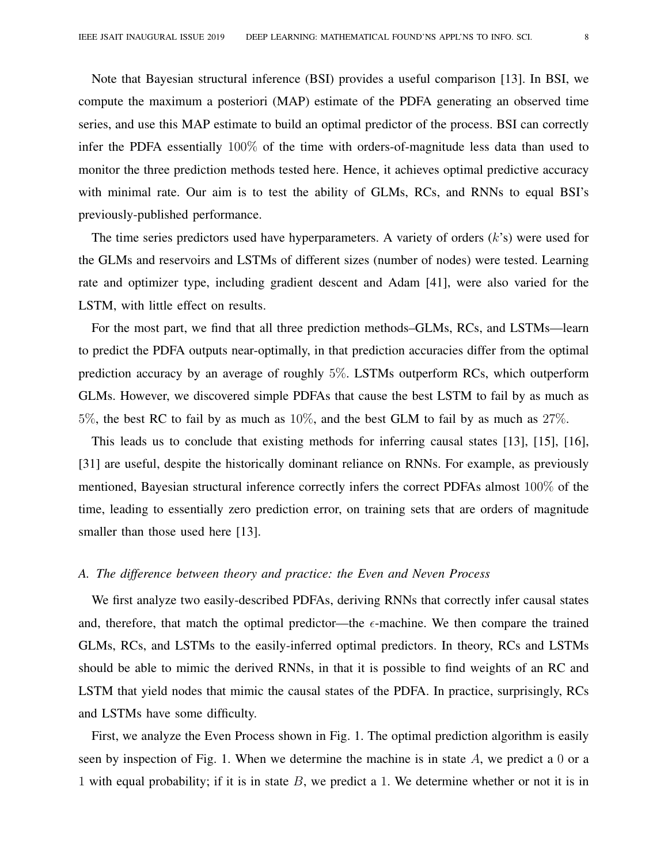Note that Bayesian structural inference (BSI) provides a useful comparison [13]. In BSI, we compute the maximum a posteriori (MAP) estimate of the PDFA generating an observed time series, and use this MAP estimate to build an optimal predictor of the process. BSI can correctly infer the PDFA essentially 100% of the time with orders-of-magnitude less data than used to monitor the three prediction methods tested here. Hence, it achieves optimal predictive accuracy with minimal rate. Our aim is to test the ability of GLMs, RCs, and RNNs to equal BSI's previously-published performance.

The time series predictors used have hyperparameters. A variety of orders  $(k's)$  were used for the GLMs and reservoirs and LSTMs of different sizes (number of nodes) were tested. Learning rate and optimizer type, including gradient descent and Adam [41], were also varied for the LSTM, with little effect on results.

For the most part, we find that all three prediction methods–GLMs, RCs, and LSTMs—learn to predict the PDFA outputs near-optimally, in that prediction accuracies differ from the optimal prediction accuracy by an average of roughly 5%. LSTMs outperform RCs, which outperform GLMs. However, we discovered simple PDFAs that cause the best LSTM to fail by as much as 5%, the best RC to fail by as much as 10%, and the best GLM to fail by as much as 27%.

This leads us to conclude that existing methods for inferring causal states [13], [15], [16], [31] are useful, despite the historically dominant reliance on RNNs. For example, as previously mentioned, Bayesian structural inference correctly infers the correct PDFAs almost 100% of the time, leading to essentially zero prediction error, on training sets that are orders of magnitude smaller than those used here [13].

### *A. The difference between theory and practice: the Even and Neven Process*

We first analyze two easily-described PDFAs, deriving RNNs that correctly infer causal states and, therefore, that match the optimal predictor—the  $\epsilon$ -machine. We then compare the trained GLMs, RCs, and LSTMs to the easily-inferred optimal predictors. In theory, RCs and LSTMs should be able to mimic the derived RNNs, in that it is possible to find weights of an RC and LSTM that yield nodes that mimic the causal states of the PDFA. In practice, surprisingly, RCs and LSTMs have some difficulty.

First, we analyze the Even Process shown in Fig. 1. The optimal prediction algorithm is easily seen by inspection of Fig. 1. When we determine the machine is in state  $A$ , we predict a 0 or a 1 with equal probability; if it is in state  $B$ , we predict a 1. We determine whether or not it is in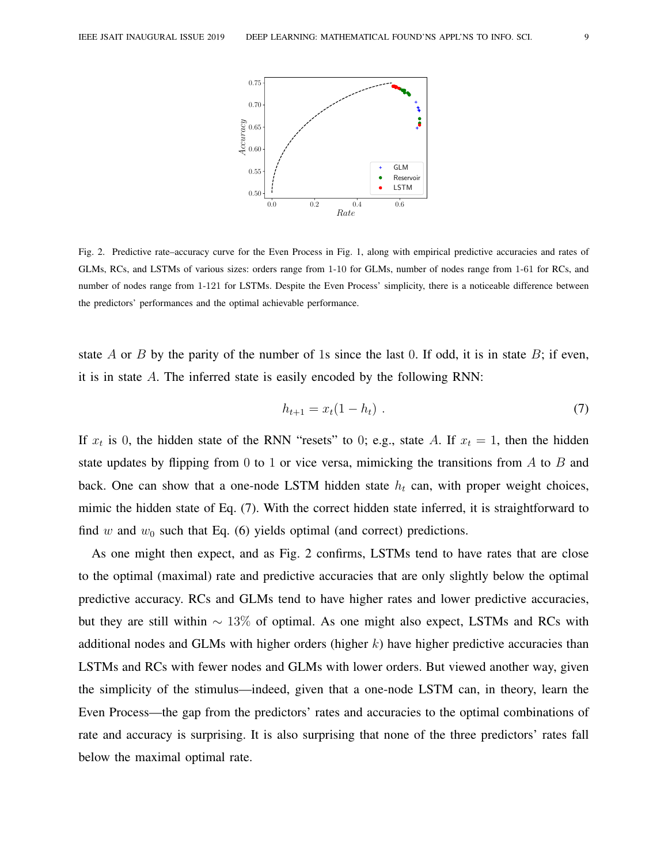

Fig. 2. Predictive rate–accuracy curve for the Even Process in Fig. 1, along with empirical predictive accuracies and rates of GLMs, RCs, and LSTMs of various sizes: orders range from 1-10 for GLMs, number of nodes range from 1-61 for RCs, and number of nodes range from 1-121 for LSTMs. Despite the Even Process' simplicity, there is a noticeable difference between the predictors' performances and the optimal achievable performance.

state A or B by the parity of the number of 1s since the last 0. If odd, it is in state B; if even, it is in state A. The inferred state is easily encoded by the following RNN:

$$
h_{t+1} = x_t(1 - h_t) \tag{7}
$$

If  $x_t$  is 0, the hidden state of the RNN "resets" to 0; e.g., state A. If  $x_t = 1$ , then the hidden state updates by flipping from 0 to 1 or vice versa, mimicking the transitions from  $\tilde{A}$  to  $\tilde{B}$  and back. One can show that a one-node LSTM hidden state  $h_t$  can, with proper weight choices, mimic the hidden state of Eq. (7). With the correct hidden state inferred, it is straightforward to find w and  $w_0$  such that Eq. (6) yields optimal (and correct) predictions.

As one might then expect, and as Fig. 2 confirms, LSTMs tend to have rates that are close to the optimal (maximal) rate and predictive accuracies that are only slightly below the optimal predictive accuracy. RCs and GLMs tend to have higher rates and lower predictive accuracies, but they are still within  $\sim 13\%$  of optimal. As one might also expect, LSTMs and RCs with additional nodes and GLMs with higher orders (higher  $k$ ) have higher predictive accuracies than LSTMs and RCs with fewer nodes and GLMs with lower orders. But viewed another way, given the simplicity of the stimulus—indeed, given that a one-node LSTM can, in theory, learn the Even Process—the gap from the predictors' rates and accuracies to the optimal combinations of rate and accuracy is surprising. It is also surprising that none of the three predictors' rates fall below the maximal optimal rate.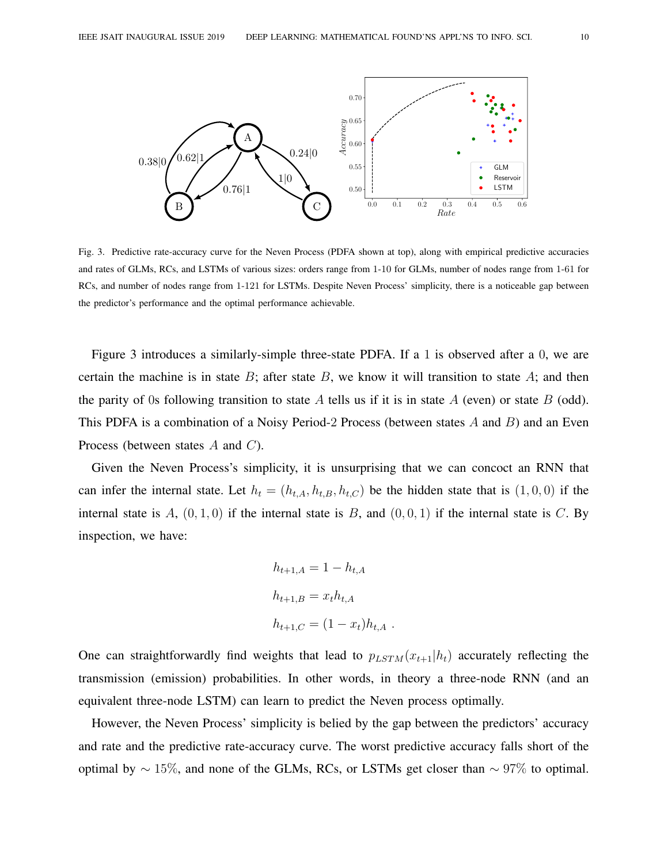

Fig. 3. Predictive rate-accuracy curve for the Neven Process (PDFA shown at top), along with empirical predictive accuracies and rates of GLMs, RCs, and LSTMs of various sizes: orders range from 1-10 for GLMs, number of nodes range from 1-61 for RCs, and number of nodes range from 1-121 for LSTMs. Despite Neven Process' simplicity, there is a noticeable gap between the predictor's performance and the optimal performance achievable.

Figure 3 introduces a similarly-simple three-state PDFA. If a 1 is observed after a 0, we are certain the machine is in state  $B$ ; after state  $B$ , we know it will transition to state  $A$ ; and then the parity of 0s following transition to state A tells us if it is in state  $A$  (even) or state  $B$  (odd). This PDFA is a combination of a Noisy Period-2 Process (between states  $A$  and  $B$ ) and an Even Process (between states A and C).

Given the Neven Process's simplicity, it is unsurprising that we can concoct an RNN that can infer the internal state. Let  $h_t = (h_{t,A}, h_{t,B}, h_{t,C})$  be the hidden state that is  $(1, 0, 0)$  if the internal state is A,  $(0, 1, 0)$  if the internal state is B, and  $(0, 0, 1)$  if the internal state is C. By inspection, we have:

$$
h_{t+1,A} = 1 - h_{t,A}
$$
  
\n
$$
h_{t+1,B} = x_t h_{t,A}
$$
  
\n
$$
h_{t+1,C} = (1 - x_t) h_{t,A}
$$
.

One can straightforwardly find weights that lead to  $p_{LSTM}(x_{t+1}|h_t)$  accurately reflecting the transmission (emission) probabilities. In other words, in theory a three-node RNN (and an equivalent three-node LSTM) can learn to predict the Neven process optimally.

However, the Neven Process' simplicity is belied by the gap between the predictors' accuracy and rate and the predictive rate-accuracy curve. The worst predictive accuracy falls short of the optimal by  $\sim 15\%$ , and none of the GLMs, RCs, or LSTMs get closer than  $\sim 97\%$  to optimal.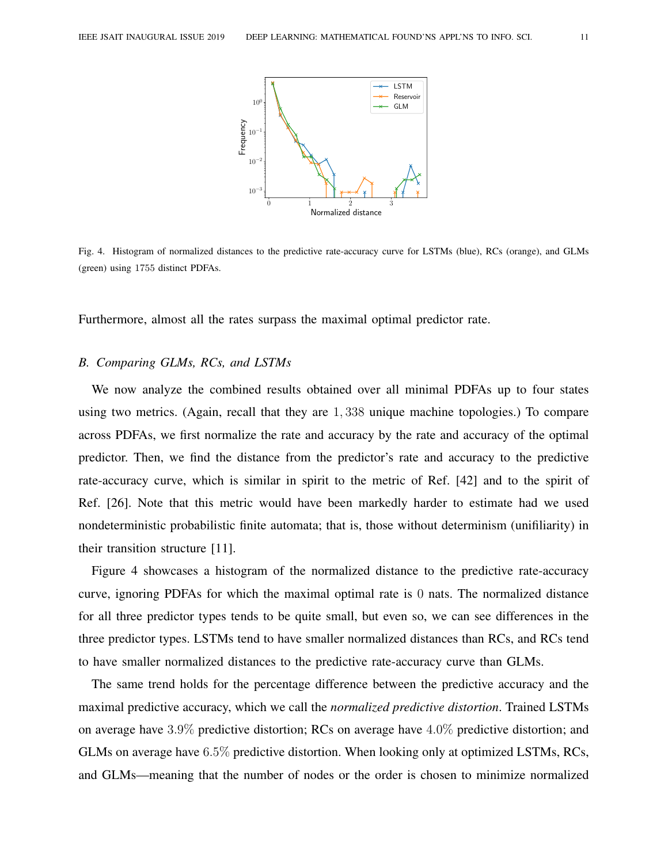

Fig. 4. Histogram of normalized distances to the predictive rate-accuracy curve for LSTMs (blue), RCs (orange), and GLMs (green) using 1755 distinct PDFAs.

Furthermore, almost all the rates surpass the maximal optimal predictor rate.

### *B. Comparing GLMs, RCs, and LSTMs*

We now analyze the combined results obtained over all minimal PDFAs up to four states using two metrics. (Again, recall that they are 1, 338 unique machine topologies.) To compare across PDFAs, we first normalize the rate and accuracy by the rate and accuracy of the optimal predictor. Then, we find the distance from the predictor's rate and accuracy to the predictive rate-accuracy curve, which is similar in spirit to the metric of Ref. [42] and to the spirit of Ref. [26]. Note that this metric would have been markedly harder to estimate had we used nondeterministic probabilistic finite automata; that is, those without determinism (unifiliarity) in their transition structure [11].

Figure 4 showcases a histogram of the normalized distance to the predictive rate-accuracy curve, ignoring PDFAs for which the maximal optimal rate is 0 nats. The normalized distance for all three predictor types tends to be quite small, but even so, we can see differences in the three predictor types. LSTMs tend to have smaller normalized distances than RCs, and RCs tend to have smaller normalized distances to the predictive rate-accuracy curve than GLMs.

The same trend holds for the percentage difference between the predictive accuracy and the maximal predictive accuracy, which we call the *normalized predictive distortion*. Trained LSTMs on average have 3.9% predictive distortion; RCs on average have 4.0% predictive distortion; and GLMs on average have 6.5% predictive distortion. When looking only at optimized LSTMs, RCs, and GLMs—meaning that the number of nodes or the order is chosen to minimize normalized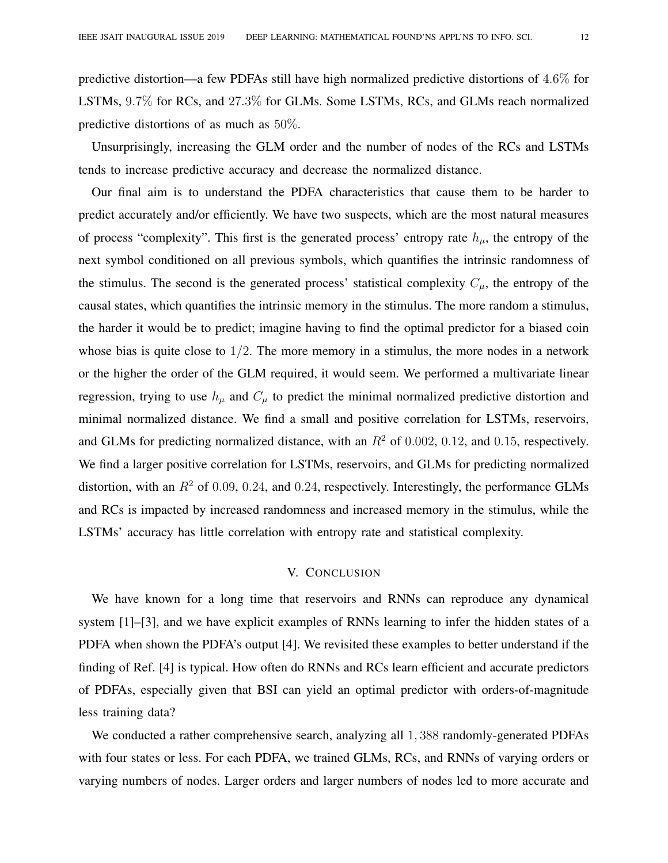Unsurprisingly, increasing the GLM order and the number of nodes of the RCs and LSTMs tends to increase predictive accuracy and decrease the normalized distance.

Our final aim is to understand the PDFA characteristics that cause them to be harder to predict accurately and/or efficiently. We have two suspects, which are the most natural measures of process "complexity". This first is the generated process' entropy rate  $h_{\mu}$ , the entropy of the next symbol conditioned on all previous symbols, which quantifies the intrinsic randomness of the stimulus. The second is the generated process' statistical complexity  $C_{\mu}$ , the entropy of the causal states, which quantifies the intrinsic memory in the stimulus. The more random a stimulus, the harder it would be to predict; imagine having to find the optimal predictor for a biased coin whose bias is quite close to  $1/2$ . The more memory in a stimulus, the more nodes in a network or the higher the order of the GLM required, it would seem. We performed a multivariate linear regression, trying to use  $h_{\mu}$  and  $C_{\mu}$  to predict the minimal normalized predictive distortion and minimal normalized distance. We find a small and positive correlation for LSTMs, reservoirs, and GLMs for predicting normalized distance, with an  $R^2$  of 0.002, 0.12, and 0.15, respectively. We find a larger positive correlation for LSTMs, reservoirs, and GLMs for predicting normalized distortion, with an  $R^2$  of 0.09, 0.24, and 0.24, respectively. Interestingly, the performance GLMs and RCs is impacted by increased randomness and increased memory in the stimulus, while the LSTMs' accuracy has little correlation with entropy rate and statistical complexity.

### V. CONCLUSION

We have known for a long time that reservoirs and RNNs can reproduce any dynamical system [1]–[3], and we have explicit examples of RNNs learning to infer the hidden states of a PDFA when shown the PDFA's output [4]. We revisited these examples to better understand if the finding of Ref. [4] is typical. How often do RNNs and RCs learn efficient and accurate predictors of PDFAs, especially given that BSI can yield an optimal predictor with orders-of-magnitude less training data?

We conducted a rather comprehensive search, analyzing all 1,388 randomly-generated PDFAs with four states or less. For each PDFA, we trained GLMs, RCs, and RNNs of varying orders or varying numbers of nodes. Larger orders and larger numbers of nodes led to more accurate and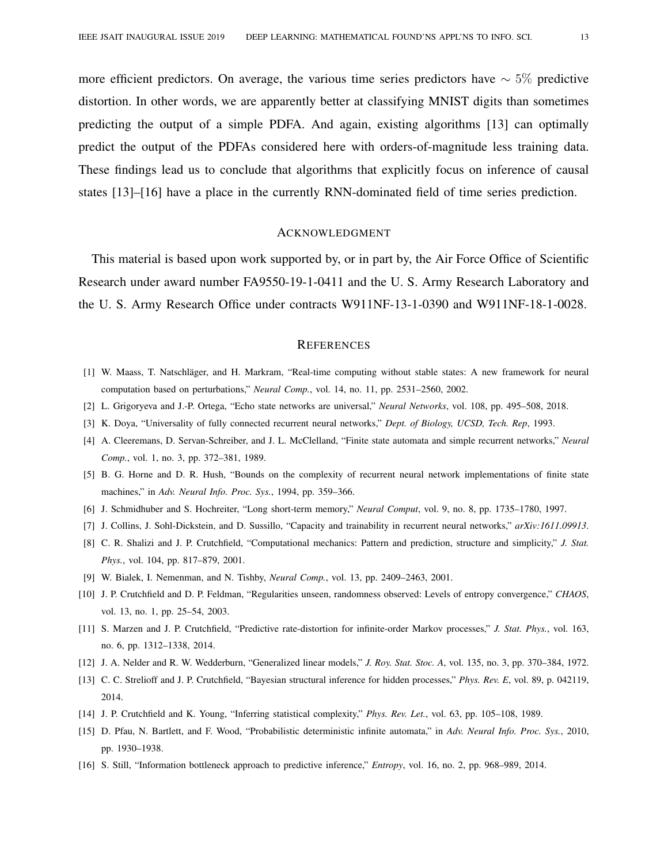more efficient predictors. On average, the various time series predictors have  $\sim 5\%$  predictive distortion. In other words, we are apparently better at classifying MNIST digits than sometimes predicting the output of a simple PDFA. And again, existing algorithms [13] can optimally predict the output of the PDFAs considered here with orders-of-magnitude less training data. These findings lead us to conclude that algorithms that explicitly focus on inference of causal states [13]–[16] have a place in the currently RNN-dominated field of time series prediction.

#### ACKNOWLEDGMENT

This material is based upon work supported by, or in part by, the Air Force Office of Scientific Research under award number FA9550-19-1-0411 and the U. S. Army Research Laboratory and the U. S. Army Research Office under contracts W911NF-13-1-0390 and W911NF-18-1-0028.

#### **REFERENCES**

- [1] W. Maass, T. Natschläger, and H. Markram, "Real-time computing without stable states: A new framework for neural computation based on perturbations," *Neural Comp.*, vol. 14, no. 11, pp. 2531–2560, 2002.
- [2] L. Grigoryeva and J.-P. Ortega, "Echo state networks are universal," *Neural Networks*, vol. 108, pp. 495–508, 2018.
- [3] K. Doya, "Universality of fully connected recurrent neural networks," *Dept. of Biology, UCSD, Tech. Rep*, 1993.
- [4] A. Cleeremans, D. Servan-Schreiber, and J. L. McClelland, "Finite state automata and simple recurrent networks," *Neural Comp.*, vol. 1, no. 3, pp. 372–381, 1989.
- [5] B. G. Horne and D. R. Hush, "Bounds on the complexity of recurrent neural network implementations of finite state machines," in *Adv. Neural Info. Proc. Sys.*, 1994, pp. 359–366.
- [6] J. Schmidhuber and S. Hochreiter, "Long short-term memory," *Neural Comput*, vol. 9, no. 8, pp. 1735–1780, 1997.
- [7] J. Collins, J. Sohl-Dickstein, and D. Sussillo, "Capacity and trainability in recurrent neural networks," *arXiv:1611.09913*.
- [8] C. R. Shalizi and J. P. Crutchfield, "Computational mechanics: Pattern and prediction, structure and simplicity," *J. Stat. Phys.*, vol. 104, pp. 817–879, 2001.
- [9] W. Bialek, I. Nemenman, and N. Tishby, *Neural Comp.*, vol. 13, pp. 2409–2463, 2001.
- [10] J. P. Crutchfield and D. P. Feldman, "Regularities unseen, randomness observed: Levels of entropy convergence," *CHAOS*, vol. 13, no. 1, pp. 25–54, 2003.
- [11] S. Marzen and J. P. Crutchfield, "Predictive rate-distortion for infinite-order Markov processes," *J. Stat. Phys.*, vol. 163, no. 6, pp. 1312–1338, 2014.
- [12] J. A. Nelder and R. W. Wedderburn, "Generalized linear models," *J. Roy. Stat. Stoc. A*, vol. 135, no. 3, pp. 370–384, 1972.
- [13] C. C. Strelioff and J. P. Crutchfield, "Bayesian structural inference for hidden processes," *Phys. Rev. E*, vol. 89, p. 042119, 2014.
- [14] J. P. Crutchfield and K. Young, "Inferring statistical complexity," *Phys. Rev. Let.*, vol. 63, pp. 105–108, 1989.
- [15] D. Pfau, N. Bartlett, and F. Wood, "Probabilistic deterministic infinite automata," in *Adv. Neural Info. Proc. Sys.*, 2010, pp. 1930–1938.
- [16] S. Still, "Information bottleneck approach to predictive inference," *Entropy*, vol. 16, no. 2, pp. 968–989, 2014.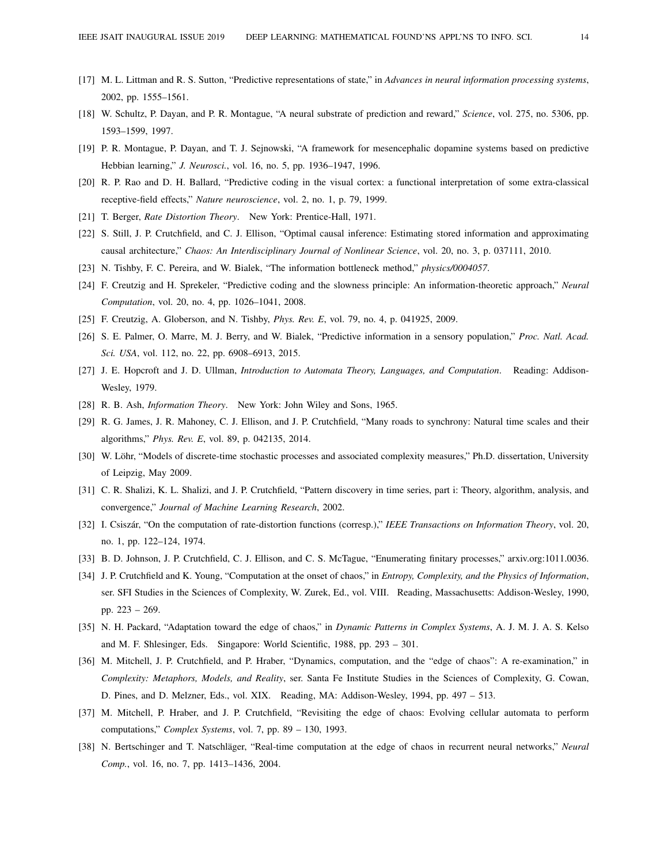- [17] M. L. Littman and R. S. Sutton, "Predictive representations of state," in *Advances in neural information processing systems*, 2002, pp. 1555–1561.
- [18] W. Schultz, P. Dayan, and P. R. Montague, "A neural substrate of prediction and reward," *Science*, vol. 275, no. 5306, pp. 1593–1599, 1997.
- [19] P. R. Montague, P. Dayan, and T. J. Sejnowski, "A framework for mesencephalic dopamine systems based on predictive Hebbian learning," *J. Neurosci.*, vol. 16, no. 5, pp. 1936–1947, 1996.
- [20] R. P. Rao and D. H. Ballard, "Predictive coding in the visual cortex: a functional interpretation of some extra-classical receptive-field effects," *Nature neuroscience*, vol. 2, no. 1, p. 79, 1999.
- [21] T. Berger, *Rate Distortion Theory*. New York: Prentice-Hall, 1971.
- [22] S. Still, J. P. Crutchfield, and C. J. Ellison, "Optimal causal inference: Estimating stored information and approximating causal architecture," *Chaos: An Interdisciplinary Journal of Nonlinear Science*, vol. 20, no. 3, p. 037111, 2010.
- [23] N. Tishby, F. C. Pereira, and W. Bialek, "The information bottleneck method," *physics/0004057*.
- [24] F. Creutzig and H. Sprekeler, "Predictive coding and the slowness principle: An information-theoretic approach," *Neural Computation*, vol. 20, no. 4, pp. 1026–1041, 2008.
- [25] F. Creutzig, A. Globerson, and N. Tishby, *Phys. Rev. E*, vol. 79, no. 4, p. 041925, 2009.
- [26] S. E. Palmer, O. Marre, M. J. Berry, and W. Bialek, "Predictive information in a sensory population," *Proc. Natl. Acad. Sci. USA*, vol. 112, no. 22, pp. 6908–6913, 2015.
- [27] J. E. Hopcroft and J. D. Ullman, *Introduction to Automata Theory, Languages, and Computation*. Reading: Addison-Wesley, 1979.
- [28] R. B. Ash, *Information Theory*. New York: John Wiley and Sons, 1965.
- [29] R. G. James, J. R. Mahoney, C. J. Ellison, and J. P. Crutchfield, "Many roads to synchrony: Natural time scales and their algorithms," *Phys. Rev. E*, vol. 89, p. 042135, 2014.
- [30] W. Löhr, "Models of discrete-time stochastic processes and associated complexity measures," Ph.D. dissertation, University of Leipzig, May 2009.
- [31] C. R. Shalizi, K. L. Shalizi, and J. P. Crutchfield, "Pattern discovery in time series, part i: Theory, algorithm, analysis, and convergence," *Journal of Machine Learning Research*, 2002.
- [32] I. Csiszár, "On the computation of rate-distortion functions (corresp.)," IEEE Transactions on Information Theory, vol. 20, no. 1, pp. 122–124, 1974.
- [33] B. D. Johnson, J. P. Crutchfield, C. J. Ellison, and C. S. McTague, "Enumerating finitary processes," arxiv.org:1011.0036.
- [34] J. P. Crutchfield and K. Young, "Computation at the onset of chaos," in *Entropy, Complexity, and the Physics of Information*, ser. SFI Studies in the Sciences of Complexity, W. Zurek, Ed., vol. VIII. Reading, Massachusetts: Addison-Wesley, 1990, pp. 223 – 269.
- [35] N. H. Packard, "Adaptation toward the edge of chaos," in *Dynamic Patterns in Complex Systems*, A. J. M. J. A. S. Kelso and M. F. Shlesinger, Eds. Singapore: World Scientific, 1988, pp. 293 – 301.
- [36] M. Mitchell, J. P. Crutchfield, and P. Hraber, "Dynamics, computation, and the "edge of chaos": A re-examination," in *Complexity: Metaphors, Models, and Reality*, ser. Santa Fe Institute Studies in the Sciences of Complexity, G. Cowan, D. Pines, and D. Melzner, Eds., vol. XIX. Reading, MA: Addison-Wesley, 1994, pp. 497 – 513.
- [37] M. Mitchell, P. Hraber, and J. P. Crutchfield, "Revisiting the edge of chaos: Evolving cellular automata to perform computations," *Complex Systems*, vol. 7, pp. 89 – 130, 1993.
- [38] N. Bertschinger and T. Natschläger, "Real-time computation at the edge of chaos in recurrent neural networks," *Neural Comp.*, vol. 16, no. 7, pp. 1413–1436, 2004.